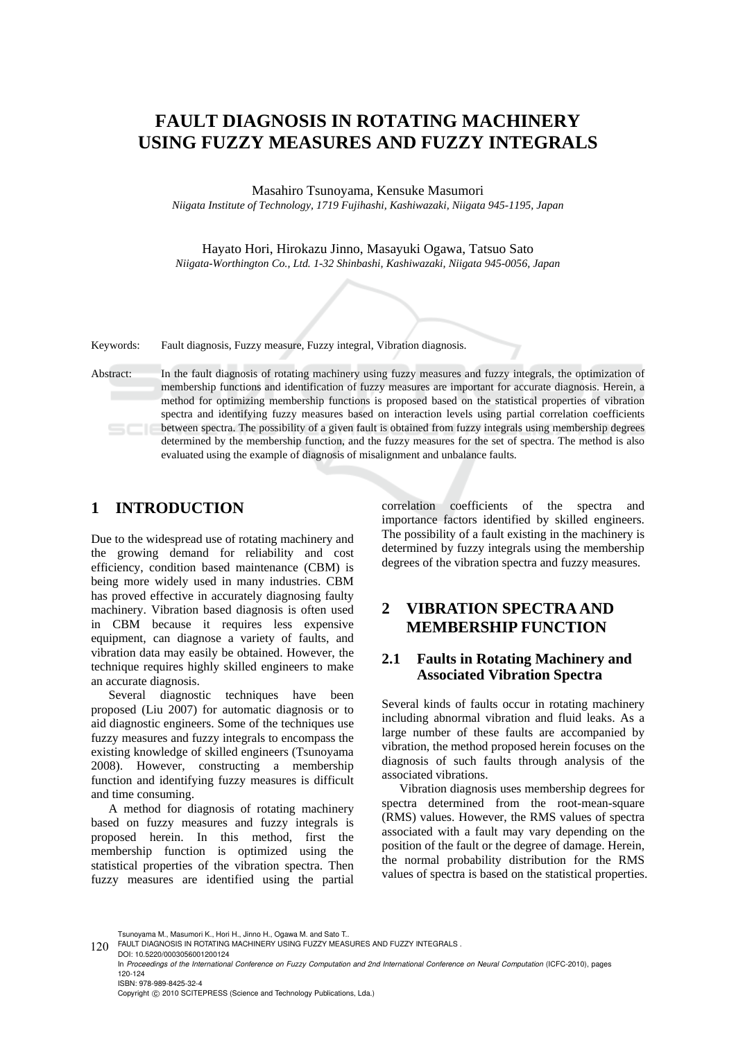# **FAULT DIAGNOSIS IN ROTATING MACHINERY USING FUZZY MEASURES AND FUZZY INTEGRALS**

Masahiro Tsunoyama, Kensuke Masumori

*Niigata Institute of Technology, 1719 Fujihashi, Kashiwazaki, Niigata 945-1195, Japan* 

Hayato Hori, Hirokazu Jinno, Masayuki Ogawa, Tatsuo Sato *Niigata-Worthington Co., Ltd. 1-32 Shinbashi, Kashiwazaki, Niigata 945-0056, Japan* 

Keywords: Fault diagnosis, Fuzzy measure, Fuzzy integral, Vibration diagnosis.

Abstract: In the fault diagnosis of rotating machinery using fuzzy measures and fuzzy integrals, the optimization of membership functions and identification of fuzzy measures are important for accurate diagnosis. Herein, a method for optimizing membership functions is proposed based on the statistical properties of vibration spectra and identifying fuzzy measures based on interaction levels using partial correlation coefficients between spectra. The possibility of a given fault is obtained from fuzzy integrals using membership degrees determined by the membership function, and the fuzzy measures for the set of spectra. The method is also evaluated using the example of diagnosis of misalignment and unbalance faults.

## **1 INTRODUCTION**

Due to the widespread use of rotating machinery and the growing demand for reliability and cost efficiency, condition based maintenance (CBM) is being more widely used in many industries. CBM has proved effective in accurately diagnosing faulty machinery. Vibration based diagnosis is often used in CBM because it requires less expensive equipment, can diagnose a variety of faults, and vibration data may easily be obtained. However, the technique requires highly skilled engineers to make an accurate diagnosis.

Several diagnostic techniques have been proposed (Liu 2007) for automatic diagnosis or to aid diagnostic engineers. Some of the techniques use fuzzy measures and fuzzy integrals to encompass the existing knowledge of skilled engineers (Tsunoyama 2008). However, constructing a membership function and identifying fuzzy measures is difficult and time consuming.

A method for diagnosis of rotating machinery based on fuzzy measures and fuzzy integrals is proposed herein. In this method, first the membership function is optimized using the statistical properties of the vibration spectra. Then fuzzy measures are identified using the partial

correlation coefficients of the spectra and importance factors identified by skilled engineers. The possibility of a fault existing in the machinery is determined by fuzzy integrals using the membership degrees of the vibration spectra and fuzzy measures.

## **2 VIBRATION SPECTRA AND MEMBERSHIP FUNCTION**

## **2.1 Faults in Rotating Machinery and Associated Vibration Spectra**

Several kinds of faults occur in rotating machinery including abnormal vibration and fluid leaks. As a large number of these faults are accompanied by vibration, the method proposed herein focuses on the diagnosis of such faults through analysis of the associated vibrations.

Vibration diagnosis uses membership degrees for spectra determined from the root-mean-square (RMS) values. However, the RMS values of spectra associated with a fault may vary depending on the position of the fault or the degree of damage. Herein, the normal probability distribution for the RMS values of spectra is based on the statistical properties.

Tsunoyama M., Masumori K., Hori H., Jinno H., Ogawa M. and Sato T..<br>120 FAULT DIAGNOSIS IN ROTATING MACHINERY USING FUZZY MEASURES AND FUZZY INTEGRALS . DOI: 10.5220/0003056001200124

In *Proceedings of the International Conference on Fuzzy Computation and 2nd International Conference on Neural Computation* (ICFC-2010), pages 120-124 ISBN: 978-989-8425-32-4

Copyright © 2010 SCITEPRESS (Science and Technology Publications, Lda.)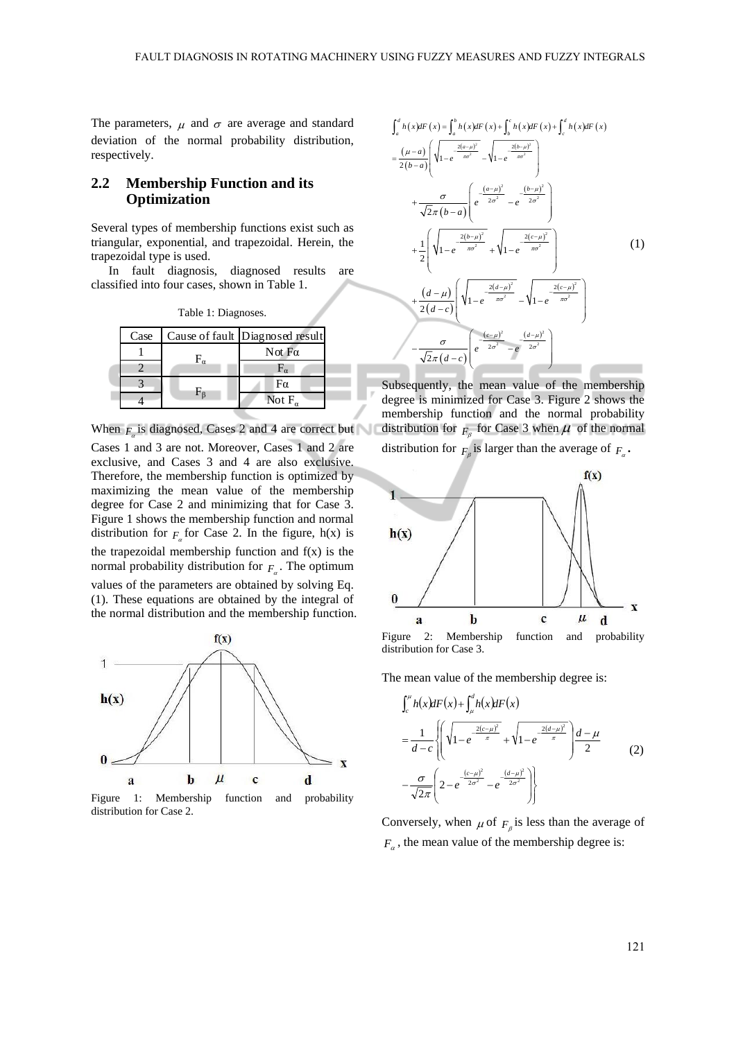The parameters,  $\mu$  and  $\sigma$  are average and standard deviation of the normal probability distribution, respectively.

## **2.2 Membership Function and its Optimization**

Several types of membership functions exist such as triangular, exponential, and trapezoidal. Herein, the trapezoidal type is used.

In fault diagnosis, diagnosed results are classified into four cases, shown in Table 1.

| Case | Cause of fault Diagnosed result |
|------|---------------------------------|
|      | Not $Fa$                        |
|      |                                 |
|      | Fα                              |
|      | Not F.                          |

Table 1: Diagnoses.

When  $F_{\alpha}$  is diagnosed, Cases 2 and 4 are correct but

Cases 1 and 3 are not. Moreover, Cases 1 and 2 are exclusive, and Cases 3 and 4 are also exclusive. Therefore, the membership function is optimized by maximizing the mean value of the membership degree for Case 2 and minimizing that for Case 3. Figure 1 shows the membership function and normal distribution for  $F<sub>g</sub>$  for Case 2. In the figure, h(x) is the trapezoidal membership function and  $f(x)$  is the normal probability distribution for  $F_{\alpha}$ . The optimum values of the parameters are obtained by solving Eq. (1). These equations are obtained by the integral of

the normal distribution and the membership function.



Figure 1: Membership function and probability distribution for Case 2.



Subsequently, the mean value of the membership degree is minimized for Case 3. Figure 2 shows the membership function and the normal probability distribution for  $F_{\beta}$  for Case 3 when  $\mu$  of the normal distribution for  $F_{\beta}$  is larger than the average of  $F_{\alpha}$ .



Figure 2: Membership function and probability distribution for Case 3.

The mean value of the membership degree is:

$$
\int_{c}^{\mu} h(x) dF(x) + \int_{\mu}^{d} h(x) dF(x)
$$
\n
$$
= \frac{1}{d-c} \left\{ \left( \sqrt{1 - e^{-\frac{2(c-\mu)^2}{\pi}}} + \sqrt{1 - e^{-\frac{2(d-\mu)^2}{\pi}}} \right) \frac{d-\mu}{2} - \frac{\sigma}{\sqrt{2\pi}} \left( 2 - e^{-\frac{(c-\mu)^2}{2\sigma^2}} - e^{-\frac{(d-\mu)^2}{2\sigma^2}} \right) \right\}
$$
\n(2)

Conversely, when  $\mu$  of  $F_\beta$  is less than the average of  $F_{\alpha}$ , the mean value of the membership degree is: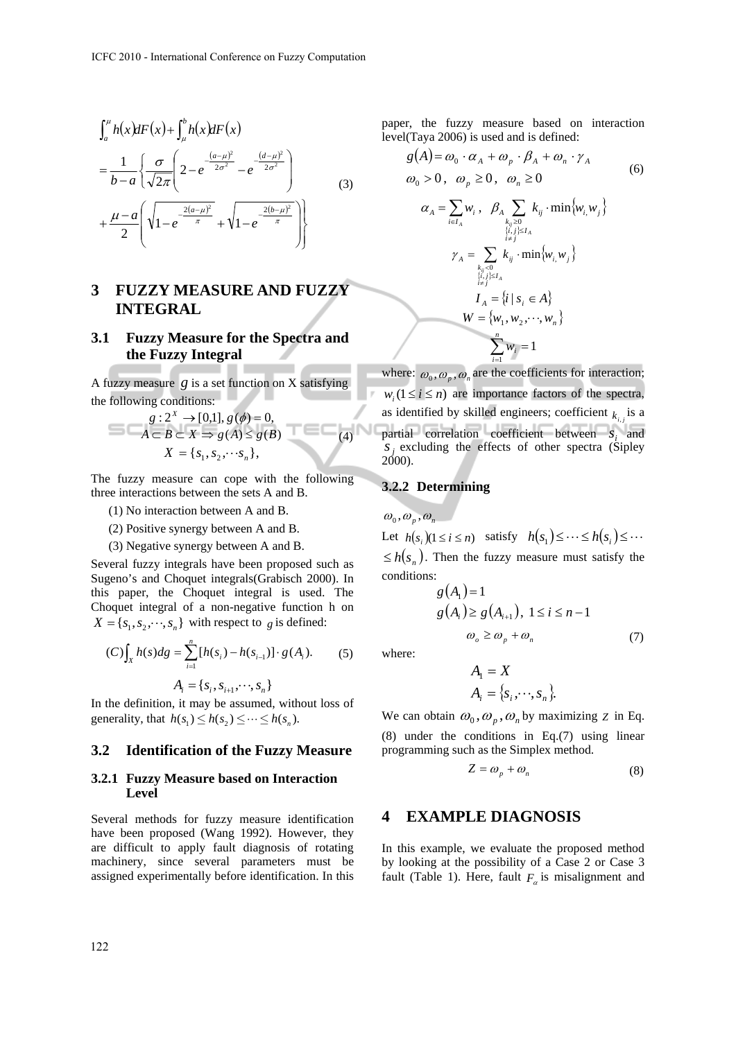$$
\int_{a}^{\mu} h(x)dF(x) + \int_{\mu}^{b} h(x)dF(x)
$$
\n
$$
= \frac{1}{b-a} \left\{ \frac{\sigma}{\sqrt{2\pi}} \left( 2 - e^{-\frac{(a-\mu)^2}{2\sigma^2}} - e^{-\frac{(d-\mu)^2}{2\sigma^2}} \right) + \frac{\mu-a}{2} \left( \sqrt{1 - e^{-\frac{2(a-\mu)^2}{\pi}}} + \sqrt{1 - e^{-\frac{2(b-\mu)^2}{\pi}}} \right) \right\}
$$
\n(3)

## **3 FUZZY MEASURE AND FUZZY INTEGRAL**

## **3.1 Fuzzy Measure for the Spectra and the Fuzzy Integral**

A fuzzy measure  $g$  is a set function on  $X$  satisfying the following conditions:

$$
g: 2X \to [0,1], g(\phi) = 0,
$$
  
\n
$$
A \subset B \subset X \Rightarrow g(A) \le g(B)
$$
  
\n
$$
X = \{s_1, s_2, \dots s_n\},
$$
\n(4)

The fuzzy measure can cope with the following three interactions between the sets A and B.

- (1) No interaction between A and B.
- (2) Positive synergy between A and B.
- (3) Negative synergy between A and B.

Several fuzzy integrals have been proposed such as Sugeno's and Choquet integrals(Grabisch 2000). In this paper, the Choquet integral is used. The Choquet integral of a non-negative function h on  $X = \{s_1, s_2, \dots, s_n\}$  with respect to *g* is defined:

$$
(C)\int_X h(s)ds = \sum_{i=1}^n [h(s_i) - h(s_{i-1})] \cdot g(A_i). \tag{5}
$$

$$
A_i = \{s_i, s_{i+1}, \cdots, s_n\}
$$

In the definition, it may be assumed, without loss of generality, that  $h(s_1) \le h(s_2) \le \cdots \le h(s_n)$ .

#### **3.2 Identification of the Fuzzy Measure**

#### **3.2.1 Fuzzy Measure based on Interaction Level**

Several methods for fuzzy measure identification have been proposed (Wang 1992). However, they are difficult to apply fault diagnosis of rotating machinery, since several parameters must be assigned experimentally before identification. In this

paper, the fuzzy measure based on interaction level(Taya 2006) is used and is defined:

$$
g(A) = \omega_0 \cdot \alpha_A + \omega_p \cdot \beta_A + \omega_n \cdot \gamma_A
$$
  
\n
$$
\omega_0 > 0, \quad \omega_p \ge 0, \quad \omega_n \ge 0
$$
  
\n
$$
\alpha_A = \sum_{i \in I_A} w_i, \quad \beta_A \sum_{\substack{k_{ij} \ge 0 \\ \{i,j\} \le I_A \\ i \ne j}} k_{ij} \cdot \min \{w_i, w_j\}
$$
  
\n
$$
\gamma_A = \sum_{\substack{k_{ij} < 0 \\ \{i,j\} \le I_A \\ i \ne j}} k_{ij} \cdot \min \{w_i, w_j\}
$$
  
\n
$$
I_A = \{i \mid s_i \in A\}
$$
  
\n
$$
W = \{w_1, w_2, \dots, w_n\}
$$
  
\n
$$
\sum_{i=1}^n w_i = 1
$$

where:  $\omega_0$ ,  $\omega_n$ ,  $\omega_n$  are the coefficients for interaction;  $w_i$  ( $1 \le i \le n$ ) are importance factors of the spectra, as identified by skilled engineers; coefficient  $k_{i,j}$  is a partial correlation coefficient between  $s_i$  and  $S_i$  excluding the effects of other spectra (Sipley 2000).

## **3.2.2 Determining**

 $\omega_{0}, \omega_{n}, \omega_{n}$ 

Let  $h(s_i)(1 \le i \le n)$  satisfy  $h(s_1) \le \cdots \le h(s_i) \le \cdots$  $\leq h(s_n)$ . Then the fuzzy measure must satisfy the conditions:

$$
g(A1) = 1
$$
  
\n
$$
g(Ai) \ge g(Ai+1), 1 \le i \le n-1
$$
  
\n
$$
\omegao \ge \omegap + \omegan
$$
 (7)

where:

$$
A_1 = X
$$
  

$$
A_i = \{s_i, \dots, s_n\}.
$$

We can obtain  $\omega_0$ ,  $\omega_p$ ,  $\omega_n$  by maximizing *Z* in Eq. (8) under the conditions in Eq.(7) using linear programming such as the Simplex method.

$$
Z = \omega_p + \omega_n \tag{8}
$$

## **4 EXAMPLE DIAGNOSIS**

In this example, we evaluate the proposed method by looking at the possibility of a Case 2 or Case 3 fault (Table 1). Here, fault  $F_a$  is misalignment and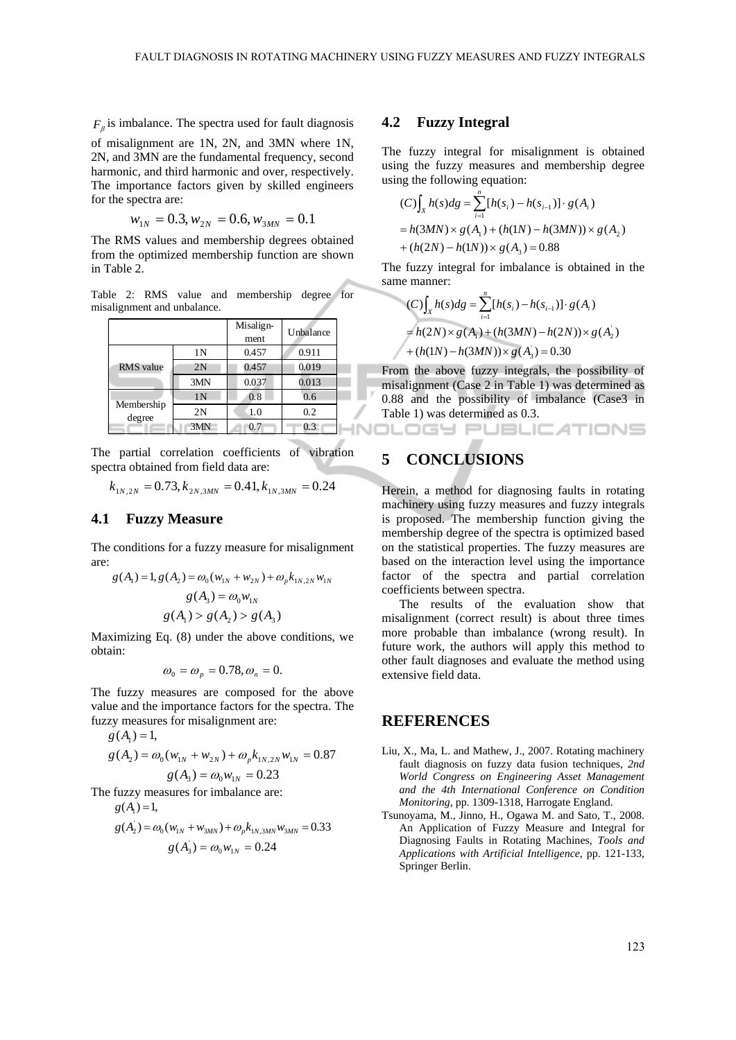$F<sub>e</sub>$  is imbalance. The spectra used for fault diagnosis of misalignment are 1N, 2N, and 3MN where 1N, 2N, and 3MN are the fundamental frequency, second harmonic, and third harmonic and over, respectively.

The importance factors given by skilled engineers for the spectra are:\n\n
$$
\begin{bmatrix}\n 0 & 0 \\
0 & 0\n \end{bmatrix}
$$

$$
w_{1N} = 0.3, w_{2N} = 0.6, w_{3MN} = 0.1
$$

The RMS values and membership degrees obtained from the optimized membership function are shown in Table 2.

Table 2: RMS value and membership degree for misalignment and unbalance.

|            |                | Misalign-<br>ment | Unbalance | $= h(2N) \times g(A_1) + (h(3MN) - h(2N)) \times g(A_2)$ |
|------------|----------------|-------------------|-----------|----------------------------------------------------------|
|            | 1Ν             | 0.457             | 0.911     | + $(h(1N) - h(3MN)) \times g(A_3) = 0.30$                |
| RMS value  | 2N             | 0.457             | 0.019     | From the above fuzzy integrals, the possibility of       |
|            | 3MN            | 0.037             | 0.013     | misalignment (Case 2 in Table 1) was determined as       |
| Membership | 1 <sub>N</sub> | 0.8               | 0.6       | 0.88 and the possibility of imbalance (Case3 in          |
| degree     | 2N             | 1.0               | 0.2       | Table 1) was determined as 0.3.                          |
|            | 3MN            | 0.7               | 0.3       |                                                          |

The partial correlation coefficients of vibration spectra obtained from field data are:

$$
k_{1N,2N} = 0.73, k_{2N,3MN} = 0.41, k_{1N,3MN} = 0.24
$$

## **4.1 Fuzzy Measure**

The conditions for a fuzzy measure for misalignment are:

$$
g(A_1) = 1, g(A_2) = \omega_0 (w_{1N} + w_{2N}) + \omega_p k_{1N, 2N} w_{1N}
$$
  

$$
g(A_3) = \omega_0 w_{1N}
$$
  

$$
g(A_1) > g(A_2) > g(A_3)
$$

Maximizing Eq. (8) under the above conditions, we obtain:

$$
\omega_0 = \omega_p = 0.78, \omega_n = 0.
$$

The fuzzy measures are composed for the above value and the importance factors for the spectra. The fuzzy measures for misalignment are:

$$
g(A_1)=1,
$$

$$
g(A_2) = \omega_0 (w_{1N} + w_{2N}) + \omega_p k_{1N,2N} w_{1N} = 0.87
$$
  

$$
g(A_3) = \omega_0 w_{1N} = 0.23
$$

The fuzzy measures for imbalance are:

$$
g(A_1)=1,
$$

$$
g(A2) = \omega_0 (w1N + w3MN) + \omega_p k_{1N,3MN} w3MN = 0.33
$$

$$
g(A3) = \omega_0 w1N = 0.24
$$

#### **4.2 Fuzzy Integral**

The fuzzy integral for misalignment is obtained using the fuzzy measures and membership degree using the following equation:

$$
(C)\int_X h(s)ds = \sum_{i=1}^n [h(s_i) - h(s_{i-1})] \cdot g(A_i)
$$
  
= h(3MN) × g(A<sub>1</sub>) + (h(1N) – h(3MN)) × g(A<sub>2</sub>)  
+ (h(2N) – h(1N)) × g(A<sub>3</sub>) = 0.88

The fuzzy integral for imbalance is obtained in the same manner:

$$
(C)\int_X h(s)ds = \sum_{i=1}^n [h(s_i) - h(s_{i-1})] \cdot g(A_i)
$$
  
=  $h(2N) \times g(A_1) + (h(3MN) - h(2N)) \times g(A_2)$   
+  $(h(1N) - h(3MN)) \times g(A_3) = 0.30$ 

## **5 CONCLUSIONS**

Herein, a method for diagnosing faults in rotating machinery using fuzzy measures and fuzzy integrals is proposed. The membership function giving the membership degree of the spectra is optimized based on the statistical properties. The fuzzy measures are based on the interaction level using the importance factor of the spectra and partial correlation coefficients between spectra.

The results of the evaluation show that misalignment (correct result) is about three times more probable than imbalance (wrong result). In future work, the authors will apply this method to other fault diagnoses and evaluate the method using extensive field data.

## **REFERENCES**

- Liu, X., Ma, L. and Mathew, J., 2007. Rotating machinery fault diagnosis on fuzzy data fusion techniques, *2nd World Congress on Engineering Asset Management and the 4th International Conference on Condition Monitoring*, pp. 1309-1318, Harrogate England.
- Tsunoyama, M., Jinno, H., Ogawa M. and Sato, T., 2008. An Application of Fuzzy Measure and Integral for Diagnosing Faults in Rotating Machines, *Tools and Applications with Artificial Intelligence*, pp. 121-133, Springer Berlin.